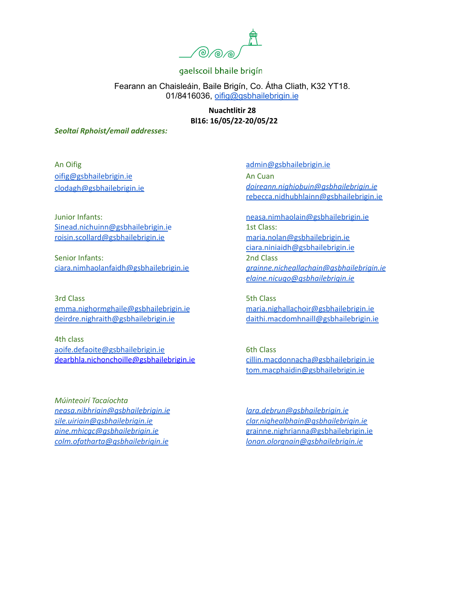

Fearann an Chaisleáin, Baile Brigín, Co. Átha Cliath, K32 YT18. 01/8416036, [oifig@gsbhailebrigin.ie](mailto:oifig@gsbhailebrigin.ie)

> **Nuachtlitir 28 Bl16: 16/05/22-20/05/22**

#### *Seoltaí Rphoist/email addresses:*

An Oifig [oifig@gsbhailebrigin.ie](mailto:oifig@gsbhailebrigin.ie) [clodagh@gsbhailebrigin.ie](mailto:clodagh@gsbhailebrigin.ie)

Junior Infants: [Sinead.nichuinn@gsbhailebrigin.ie](mailto:Sinead.nichuinn@gsbhailebrigin.ie) [roisin.scollard@gsbhailebrigin.ie](mailto:roisin.scollard@gsbhailebrigin.ie)

Senior Infants: [ciara.nimhaolanfaidh@gsbhailebrigin.ie](mailto:ciara.nimhaolanfaidh@gsbhailebrigin.ie)

3rd Class [emma.nighormghaile@gsbhailebrigin.ie](mailto:emma.nighormghaile@gsbhailebrigin.ie) [deirdre.nighraith@gsbhailebrigin.ie](mailto:deirdre.nighraith@gsbhailebrigin.ie)

4th class [aoife.defaoite@gsbhailebrigin.ie](mailto:aoife.defaoite@gsbhailebrigin.ie) dearbhla.nichonchoille@gsbhailebrigin.ie

*Múinteoirí Tacaíochta [neasa.nibhriain@gsbhailebrigin.ie](mailto:neasa.nibhriain@gsbhailebrigin.ie) [sile.uiriain@gsbhailebrigin.ie](mailto:sile.uiriain@gsbhailebrigin.ie) [aine.mhicgc@gsbhailebrigin.ie](mailto:aine.mhicgc@gsbhailebrigin.ie) [colm.ofatharta@gsbhailebrigin.ie](mailto:colm.ofatharta@gsbhailebrigin.ie)*

[admin@gsbhailebrigin.ie](mailto:admin@gsbhailebrigin.ie) An Cuan *[doireann.nighiobuin@gsbhailebrigin.ie](mailto:doireann.nighiobuin@gsbhailebrigin.ie)* [rebecca.nidhubhlainn@gsbhailebrigin.ie](mailto:rebecca.nidhubhlainn@gsbhailebrigin.ie)

[neasa.nimhaolain@gsbhailebrigin.ie](mailto:neasa.nimhaolain@gsbhailebrigin.ie) 1st Class: [maria.nolan@gsbhailebrigin.ie](mailto:maria.nolan@gsbhailebrigin.ie) [ciara.niniaidh@gsbhailebrigin.ie](mailto:ciara.niniaidh@gsbhailebrigin.ie) 2nd Class *[grainne.nicheallachain@gsbhailebrigin.ie](mailto:grainne.nicheallachain@gsbhailebrigin.ie) [elaine.nicugo@gsbhailebrigin.ie](mailto:elaine.nicugo@gsbhailebrigin.ie)*

5th Class [maria.nighallachoir@gsbhailebrigin.ie](mailto:maria.nighallachoir@gsbhailebrigin.ie) [daithi.macdomhnaill@gsbhailebrigin.ie](mailto:daithi.macdomhnaill@gsbhailebrigin.ie)

6th Class [cillin.macdonnacha@gsbhailebrigin.ie](mailto:cillin.macdonnacha@gsbhailebrigin.ie) [tom.macphaidin@gsbhailebrigin.ie](mailto:tom.macphaidin@gsbhailebrigin.ie)

*[lara.debrun@gsbhailebrigin.ie](mailto:lara.debrun@gsbhailebrigin.ie) [clar.nighealbhain@gsbhailebrigin.ie](mailto:clar.nighealbhain@gsbhailebrigin.ie)* [grainne.nighrianna@gsbhailebrigin.ie](mailto:grainne.nighrianna@gsbhailebrigin.ie) *[lonan.olorgnain@gsbhailebrigin.ie](mailto:lonan.olorgnain@gsbhailebrigin.ie)*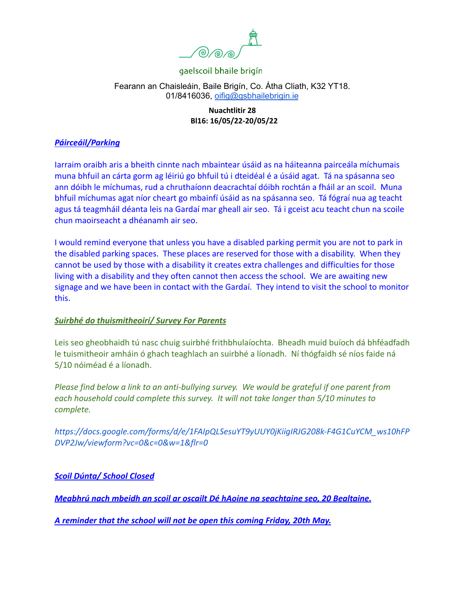

# Fearann an Chaisleáin, Baile Brigín, Co. Átha Cliath, K32 YT18. 01/8416036, [oifig@gsbhailebrigin.ie](mailto:oifig@gsbhailebrigin.ie)

# **Nuachtlitir 28 Bl16: 16/05/22-20/05/22**

# *Páirceáil/Parking*

Iarraim oraibh aris a bheith cinnte nach mbaintear úsáid as na háiteanna pairceála míchumais muna bhfuil an cárta gorm ag léiriú go bhfuil tú i dteidéal é a úsáid agat. Tá na spásanna seo ann dóibh le míchumas, rud a chruthaíonn deacrachtaí dóibh rochtán a fháil ar an scoil. Muna bhfuil míchumas agat níor cheart go mbainfí úsáid as na spásanna seo. Tá fógraí nua ag teacht agus tá teagmháil déanta leis na Gardaí mar gheall air seo. Tá i gceist acu teacht chun na scoile chun maoirseacht a dhéanamh air seo.

I would remind everyone that unless you have a disabled parking permit you are not to park in the disabled parking spaces. These places are reserved for those with a disability. When they cannot be used by those with a disability it creates extra challenges and difficulties for those living with a disability and they often cannot then access the school. We are awaiting new signage and we have been in contact with the Gardaí. They intend to visit the school to monitor this.

# *Suirbhé do thuismitheoirí/ Survey For Parents*

Leis seo gheobhaidh tú nasc chuig suirbhé frithbhulaíochta. Bheadh muid buíoch dá bhféadfadh le tuismitheoir amháin ó ghach teaghlach an suirbhé a líonadh. Ní thógfaidh sé níos faide ná 5/10 nóiméad é a líonadh.

*Please find below a link to an anti-bullying survey. We would be grateful if one parent from each household could complete this survey. It will not take longer than 5/10 minutes to complete.*

*[https://docs.google.com/forms/d/e/1FAIpQLSesuYT9yUUY0jKiigIRJG208k-F4G1CuYCM\\_ws10hFP](https://docs.google.com/forms/d/e/1FAIpQLSesuYT9yUUY0jKiigIRJG208k-F4G1CuYCM_ws10hFPDVP2Jw/viewform?vc=0&c=0&w=1&flr=0) [DVP2Jw/viewform?vc=0&c=0&w=1&flr=0](https://docs.google.com/forms/d/e/1FAIpQLSesuYT9yUUY0jKiigIRJG208k-F4G1CuYCM_ws10hFPDVP2Jw/viewform?vc=0&c=0&w=1&flr=0)*

*Scoil Dúnta/ School Closed*

*Meabhrú nach mbeidh an scoil ar oscailt Dé hAoine na seachtaine seo, 20 Bealtaine.*

*A reminder that the school will not be open this coming Friday, 20th May.*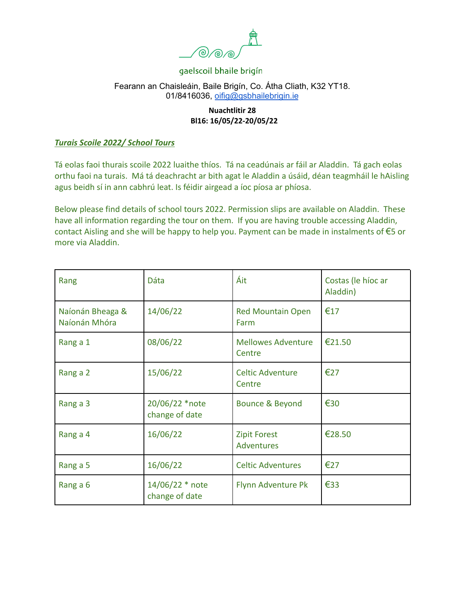

# Fearann an Chaisleáin, Baile Brigín, Co. Átha Cliath, K32 YT18. 01/8416036, [oifig@gsbhailebrigin.ie](mailto:oifig@gsbhailebrigin.ie)

# **Nuachtlitir 28 Bl16: 16/05/22-20/05/22**

#### *Turais Scoile 2022/ School Tours*

Tá eolas faoi thurais scoile 2022 luaithe thíos. Tá na ceadúnais ar fáil ar Aladdin. Tá gach eolas orthu faoi na turais. Má tá deachracht ar bith agat le Aladdin a úsáid, déan teagmháil le hAisling agus beidh sí in ann cabhrú leat. Is féidir airgead a íoc píosa ar phíosa.

Below please find details of school tours 2022. Permission slips are available on Aladdin. These have all information regarding the tour on them. If you are having trouble accessing Aladdin, contact Aisling and she will be happy to help you. Payment can be made in instalments of €5 or more via Aladdin.

| Rang                              | Dáta                              | Áit                                 | Costas (le híoc ar<br>Aladdin) |
|-----------------------------------|-----------------------------------|-------------------------------------|--------------------------------|
| Naíonán Bheaga &<br>Naíonán Mhóra | 14/06/22                          | <b>Red Mountain Open</b><br>Farm    | €17                            |
| Rang a 1                          | 08/06/22                          | <b>Mellowes Adventure</b><br>Centre | €21.50                         |
| Rang a 2                          | 15/06/22                          | <b>Celtic Adventure</b><br>Centre   | €27                            |
| Rang a 3                          | 20/06/22 *note<br>change of date  | Bounce & Beyond                     | €30                            |
| Rang a 4                          | 16/06/22                          | <b>Zipit Forest</b><br>Adventures   | €28.50                         |
| Rang a 5                          | 16/06/22                          | <b>Celtic Adventures</b>            | €27                            |
| Rang a 6                          | 14/06/22 * note<br>change of date | Flynn Adventure Pk                  | €33                            |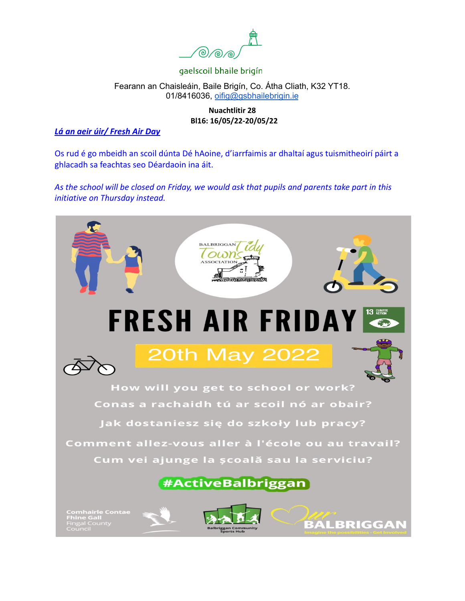

## Fearann an Chaisleáin, Baile Brigín, Co. Átha Cliath, K32 YT18. 01/8416036, [oifig@gsbhailebrigin.ie](mailto:oifig@gsbhailebrigin.ie)

# **Nuachtlitir 28 Bl16: 16/05/22-20/05/22**

# *Lá an aeir úir/ Fresh Air Day*

Os rud é go mbeidh an scoil dúnta Dé hAoine, d'iarrfaimis ar dhaltaí agus tuismitheoirí páirt a ghlacadh sa feachtas seo Déardaoin ina áit.

*As the school will be closed on Friday, we would ask that pupils and parents take part in this initiative on Thursday instead.*

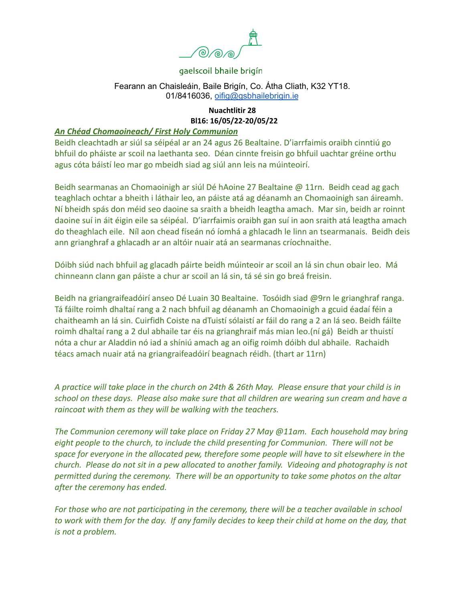

#### Fearann an Chaisleáin, Baile Brigín, Co. Átha Cliath, K32 YT18. 01/8416036, [oifig@gsbhailebrigin.ie](mailto:oifig@gsbhailebrigin.ie)

#### **Nuachtlitir 28 Bl16: 16/05/22-20/05/22**

# *An Chéad Chomaoineach/ First Holy Communion*

Beidh cleachtadh ar siúl sa séipéal ar an 24 agus 26 Bealtaine. D'iarrfaimis oraibh cinntiú go bhfuil do pháiste ar scoil na laethanta seo. Déan cinnte freisin go bhfuil uachtar gréine orthu agus cóta báistí leo mar go mbeidh siad ag siúl ann leis na múinteoirí.

Beidh searmanas an Chomaoinigh ar siúl Dé hAoine 27 Bealtaine @ 11rn. Beidh cead ag gach teaghlach ochtar a bheith i láthair leo, an páiste atá ag déanamh an Chomaoinigh san áireamh. Ní bheidh spás don méid seo daoine sa sraith a bheidh leagtha amach. Mar sin, beidh ar roinnt daoine suí in áit éigin eile sa séipéal. D'iarrfaimis oraibh gan suí in aon sraith atá leagtha amach do theaghlach eile. Níl aon chead físeán nó íomhá a ghlacadh le linn an tsearmanais. Beidh deis ann grianghraf a ghlacadh ar an altóir nuair atá an searmanas críochnaithe.

Dóibh siúd nach bhfuil ag glacadh páirte beidh múinteoir ar scoil an lá sin chun obair leo. Má chinneann clann gan páiste a chur ar scoil an lá sin, tá sé sin go breá freisin.

Beidh na griangraifeadóirí anseo Dé Luain 30 Bealtaine. Tosóidh siad @9rn le grianghraf ranga. Tá fáilte roimh dhaltaí rang a 2 nach bhfuil ag déanamh an Chomaoinigh a gcuid éadaí féin a chaitheamh an lá sin. Cuirfidh Coiste na dTuistí sólaistí ar fáil do rang a 2 an lá seo. Beidh fáilte roimh dhaltaí rang a 2 dul abhaile tar éis na grianghraif más mian leo.(ní gá) Beidh ar thuistí nóta a chur ar Aladdin nó iad a shíniú amach ag an oifig roimh dóibh dul abhaile. Rachaidh téacs amach nuair atá na griangraifeadóirí beagnach réidh. (thart ar 11rn)

*A practice will take place in the church on 24th & 26th May. Please ensure that your child is in school on these days. Please also make sure that all children are wearing sun cream and have a raincoat with them as they will be walking with the teachers.*

*The Communion ceremony will take place on Friday 27 May @11am. Each household may bring eight people to the church, to include the child presenting for Communion. There will not be space for everyone in the allocated pew, therefore some people will have to sit elsewhere in the church. Please do not sit in a pew allocated to another family. Videoing and photography is not permitted during the ceremony. There will be an opportunity to take some photos on the altar after the ceremony has ended.*

*For those who are not participating in the ceremony, there will be a teacher available in school to work with them for the day. If any family decides to keep their child at home on the day, that is not a problem.*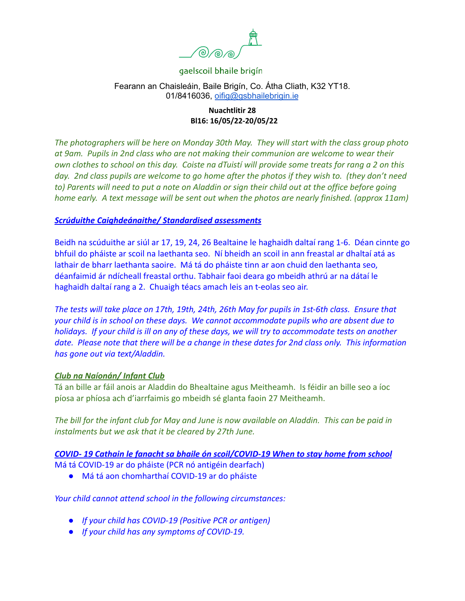

## Fearann an Chaisleáin, Baile Brigín, Co. Átha Cliath, K32 YT18. 01/8416036, [oifig@gsbhailebrigin.ie](mailto:oifig@gsbhailebrigin.ie)

#### **Nuachtlitir 28 Bl16: 16/05/22-20/05/22**

*The photographers will be here on Monday 30th May. They will start with the class group photo at 9am. Pupils in 2nd class who are not making their communion are welcome to wear their own clothes to school on this day. Coiste na dTuistí will provide some treats for rang a 2 on this day. 2nd class pupils are welcome to go home after the photos if they wish to. (they don't need to) Parents will need to put a note on Aladdin or sign their child out at the office before going home early. A text message will be sent out when the photos are nearly finished. (approx 11am)*

#### *Scrúduithe Caighdeánaithe/ Standardised assessments*

Beidh na scúduithe ar siúl ar 17, 19, 24, 26 Bealtaine le haghaidh daltaí rang 1-6. Déan cinnte go bhfuil do pháiste ar scoil na laethanta seo. Ní bheidh an scoil in ann freastal ar dhaltaí atá as lathair de bharr laethanta saoire. Má tá do pháiste tinn ar aon chuid den laethanta seo, déanfaimid ár ndícheall freastal orthu. Tabhair faoi deara go mbeidh athrú ar na dátaí le haghaidh daltaí rang a 2. Chuaigh téacs amach leis an t-eolas seo air.

*The tests will take place on 17th, 19th, 24th, 26th May for pupils in 1st-6th class. Ensure that your child is in school on these days. We cannot accommodate pupils who are absent due to holidays. If your child is ill on any of these days, we will try to accommodate tests on another date. Please note that there will be a change in these dates for 2nd class only. This information has gone out via text/Aladdin.*

#### *Club na Naíonán/ Infant Club*

Tá an bille ar fáil anois ar Aladdin do Bhealtaine agus Meitheamh. Is féidir an bille seo a íoc píosa ar phíosa ach d'iarrfaimis go mbeidh sé glanta faoin 27 Meitheamh.

*The bill for the infant club for May and June is now available on Aladdin. This can be paid in instalments but we ask that it be cleared by 27th June.*

*COVID- 19 Cathain le fanacht sa bhaile ón scoil/COVID-19 When to stay home from school* Má tá COVID-19 ar do pháiste (PCR nó antigéin dearfach)

● Má tá aon chomharthaí COVID-19 ar do pháiste

*Your child cannot attend school in the following circumstances:*

- *● If your child has COVID-19 (Positive PCR or antigen)*
- *● If your child has any symptoms of COVID-19.*